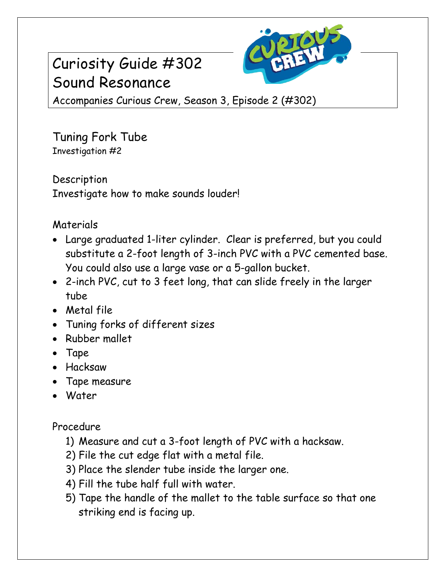## Curiosity Guide #302 Sound Resonance



Accompanies Curious Crew, Season 3, Episode 2 (#302)

Tuning Fork Tube Investigation #2

Description Investigate how to make sounds louder!

## Materials

- Large graduated 1-liter cylinder. Clear is preferred, but you could substitute a 2-foot length of 3-inch PVC with a PVC cemented base. You could also use a large vase or a 5-gallon bucket.
- 2-inch PVC, cut to 3 feet long, that can slide freely in the larger tube
- Metal file
- Tuning forks of different sizes
- Rubber mallet
- Tape
- Hacksaw
- Tape measure
- Water

Procedure

- 1) Measure and cut a 3-foot length of PVC with a hacksaw.
- 2) File the cut edge flat with a metal file.
- 3) Place the slender tube inside the larger one.
- 4) Fill the tube half full with water.
- 5) Tape the handle of the mallet to the table surface so that one striking end is facing up.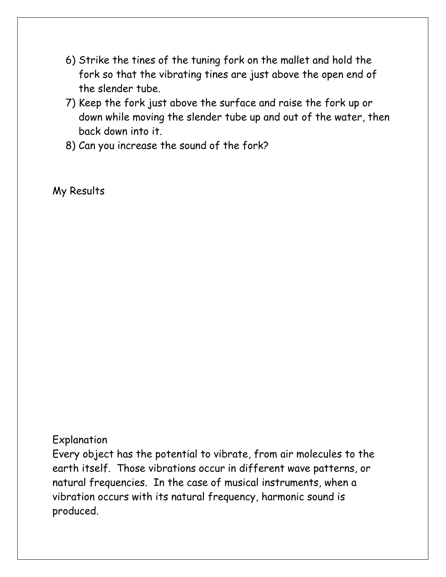- 6) Strike the tines of the tuning fork on the mallet and hold the fork so that the vibrating tines are just above the open end of the slender tube.
- 7) Keep the fork just above the surface and raise the fork up or down while moving the slender tube up and out of the water, then back down into it.
- 8) Can you increase the sound of the fork?

My Results

## Explanation

Every object has the potential to vibrate, from air molecules to the earth itself. Those vibrations occur in different wave patterns, or natural frequencies. In the case of musical instruments, when a vibration occurs with its natural frequency, harmonic sound is produced.